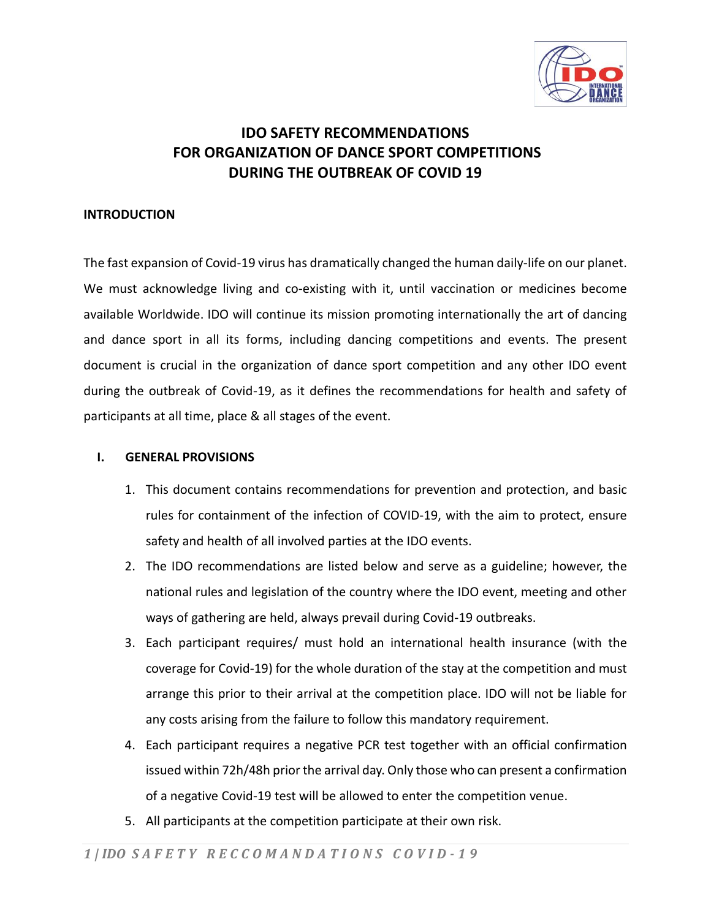

## **IDO SAFETY RECOMMENDATIONS FOR ORGANIZATION OF DANCE SPORT COMPETITIONS DURING THE OUTBREAK OF COVID 19**

#### **INTRODUCTION**

The fast expansion of Covid-19 virus has dramatically changed the human daily-life on our planet. We must acknowledge living and co-existing with it, until vaccination or medicines become available Worldwide. IDO will continue its mission promoting internationally the art of dancing and dance sport in all its forms, including dancing competitions and events. The present document is crucial in the organization of dance sport competition and any other IDO event during the outbreak of Covid-19, as it defines the recommendations for health and safety of participants at all time, place & all stages of the event.

#### **I. GENERAL PROVISIONS**

- 1. This document contains recommendations for prevention and protection, and basic rules for containment of the infection of COVID-19, with the aim to protect, ensure safety and health of all involved parties at the IDO events.
- 2. The IDO recommendations are listed below and serve as a guideline; however, the national rules and legislation of the country where the IDO event, meeting and other ways of gathering are held, always prevail during Covid-19 outbreaks.
- 3. Each participant requires/ must hold an international health insurance (with the coverage for Covid-19) for the whole duration of the stay at the competition and must arrange this prior to their arrival at the competition place. IDO will not be liable for any costs arising from the failure to follow this mandatory requirement.
- 4. Each participant requires a negative PCR test together with an official confirmation issued within 72h/48h prior the arrival day. Only those who can present a confirmation of a negative Covid-19 test will be allowed to enter the competition venue.
- 5. All participants at the competition participate at their own risk.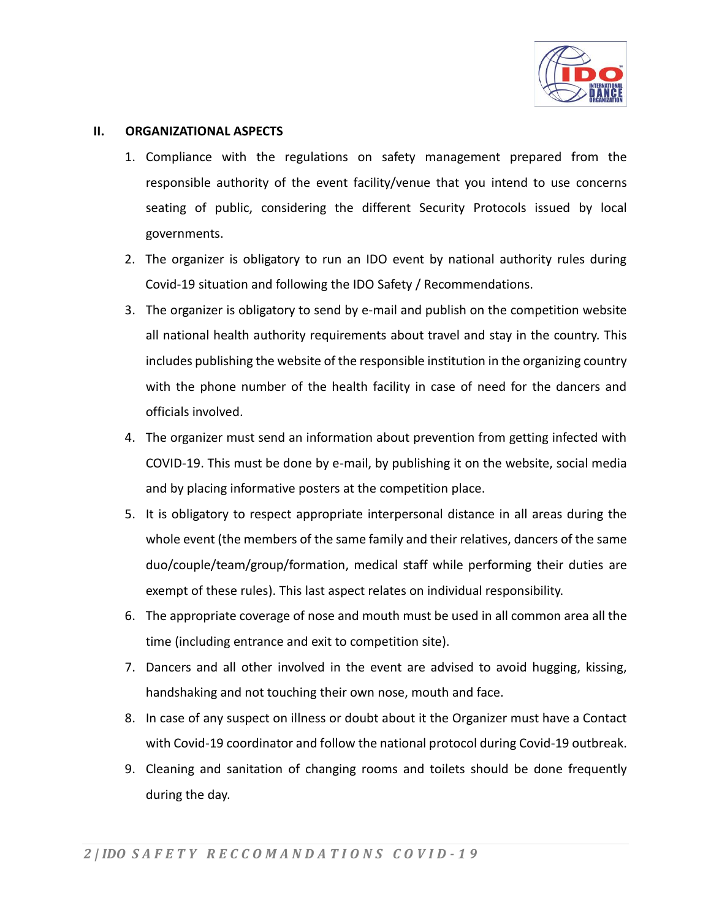

#### **II. ORGANIZATIONAL ASPECTS**

- 1. Compliance with the regulations on safety management prepared from the responsible authority of the event facility/venue that you intend to use concerns seating of public, considering the different Security Protocols issued by local governments.
- 2. The organizer is obligatory to run an IDO event by national authority rules during Covid-19 situation and following the IDO Safety / Recommendations.
- 3. The organizer is obligatory to send by e-mail and publish on the competition website all national health authority requirements about travel and stay in the country. This includes publishing the website of the responsible institution in the organizing country with the phone number of the health facility in case of need for the dancers and officials involved.
- 4. The organizer must send an information about prevention from getting infected with COVID-19. This must be done by e-mail, by publishing it on the website, social media and by placing informative posters at the competition place.
- 5. It is obligatory to respect appropriate interpersonal distance in all areas during the whole event (the members of the same family and their relatives, dancers of the same duo/couple/team/group/formation, medical staff while performing their duties are exempt of these rules). This last aspect relates on individual responsibility.
- 6. The appropriate coverage of nose and mouth must be used in all common area all the time (including entrance and exit to competition site).
- 7. Dancers and all other involved in the event are advised to avoid hugging, kissing, handshaking and not touching their own nose, mouth and face.
- 8. In case of any suspect on illness or doubt about it the Organizer must have a Contact with Covid-19 coordinator and follow the national protocol during Covid-19 outbreak.
- 9. Cleaning and sanitation of changing rooms and toilets should be done frequently during the day.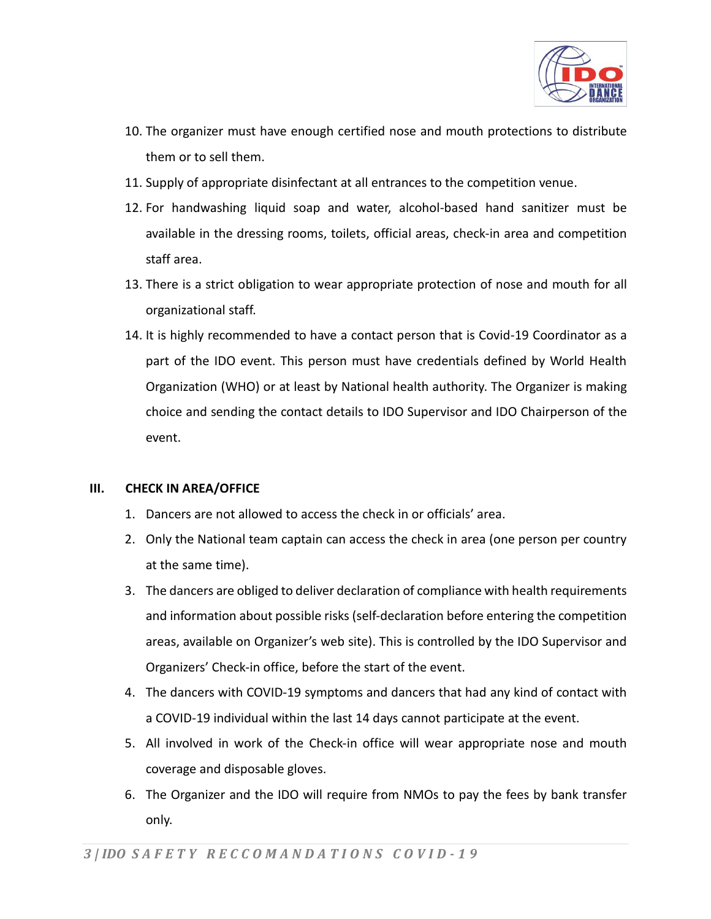

- 10. The organizer must have enough certified nose and mouth protections to distribute them or to sell them.
- 11. Supply of appropriate disinfectant at all entrances to the competition venue.
- 12. For handwashing liquid soap and water, alcohol-based hand sanitizer must be available in the dressing rooms, toilets, official areas, check-in area and competition staff area.
- 13. There is a strict obligation to wear appropriate protection of nose and mouth for all organizational staff.
- 14. It is highly recommended to have a contact person that is Covid-19 Coordinator as a part of the IDO event. This person must have credentials defined by World Health Organization (WHO) or at least by National health authority. The Organizer is making choice and sending the contact details to IDO Supervisor and IDO Chairperson of the event.

## **III. CHECK IN AREA/OFFICE**

- 1. Dancers are not allowed to access the check in or officials' area.
- 2. Only the National team captain can access the check in area (one person per country at the same time).
- 3. The dancers are obliged to deliver declaration of compliance with health requirements and information about possible risks (self-declaration before entering the competition areas, available on Organizer's web site). This is controlled by the IDO Supervisor and Organizers' Check-in office, before the start of the event.
- 4. The dancers with COVID-19 symptoms and dancers that had any kind of contact with a COVID-19 individual within the last 14 days cannot participate at the event.
- 5. All involved in work of the Check-in office will wear appropriate nose and mouth coverage and disposable gloves.
- 6. The Organizer and the IDO will require from NMOs to pay the fees by bank transfer only.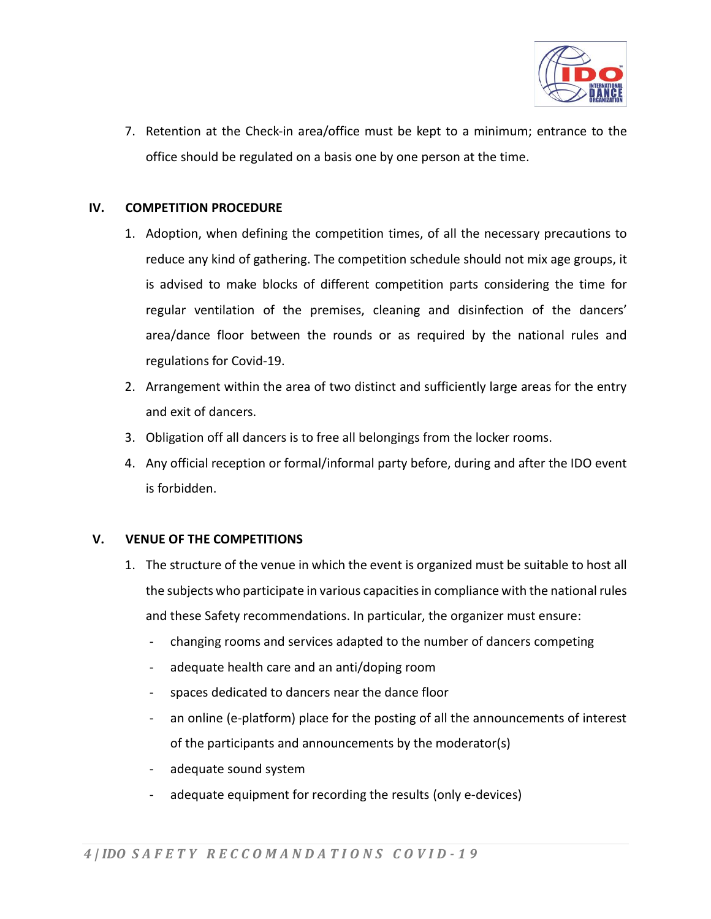

7. Retention at the Check-in area/office must be kept to a minimum; entrance to the office should be regulated on a basis one by one person at the time.

#### **IV. COMPETITION PROCEDURE**

- 1. Adoption, when defining the competition times, of all the necessary precautions to reduce any kind of gathering. The competition schedule should not mix age groups, it is advised to make blocks of different competition parts considering the time for regular ventilation of the premises, cleaning and disinfection of the dancers' area/dance floor between the rounds or as required by the national rules and regulations for Covid-19.
- 2. Arrangement within the area of two distinct and sufficiently large areas for the entry and exit of dancers.
- 3. Obligation off all dancers is to free all belongings from the locker rooms.
- 4. Any official reception or formal/informal party before, during and after the IDO event is forbidden.

## **V. VENUE OF THE COMPETITIONS**

- 1. The structure of the venue in which the event is organized must be suitable to host all the subjects who participate in various capacities in compliance with the national rules and these Safety recommendations. In particular, the organizer must ensure:
	- changing rooms and services adapted to the number of dancers competing
	- adequate health care and an anti/doping room
	- spaces dedicated to dancers near the dance floor
	- an online (e-platform) place for the posting of all the announcements of interest of the participants and announcements by the moderator(s)
	- adequate sound system
	- adequate equipment for recording the results (only e-devices)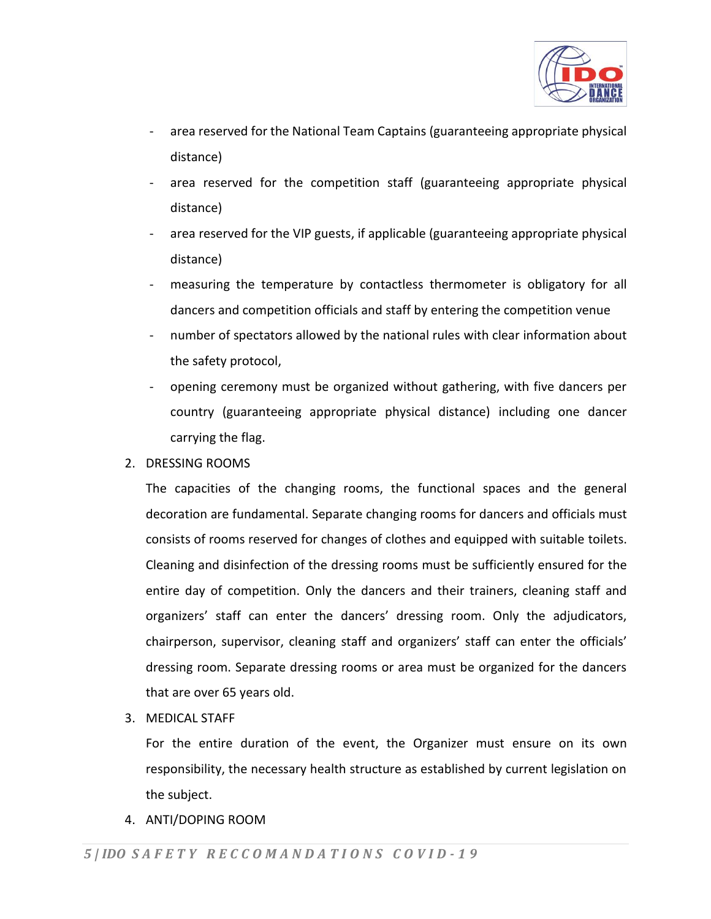

- area reserved for the National Team Captains (guaranteeing appropriate physical distance)
- area reserved for the competition staff (guaranteeing appropriate physical distance)
- area reserved for the VIP guests, if applicable (guaranteeing appropriate physical distance)
- measuring the temperature by contactless thermometer is obligatory for all dancers and competition officials and staff by entering the competition venue
- number of spectators allowed by the national rules with clear information about the safety protocol,
- opening ceremony must be organized without gathering, with five dancers per country (guaranteeing appropriate physical distance) including one dancer carrying the flag.
- 2. DRESSING ROOMS

The capacities of the changing rooms, the functional spaces and the general decoration are fundamental. Separate changing rooms for dancers and officials must consists of rooms reserved for changes of clothes and equipped with suitable toilets. Cleaning and disinfection of the dressing rooms must be sufficiently ensured for the entire day of competition. Only the dancers and their trainers, cleaning staff and organizers' staff can enter the dancers' dressing room. Only the adjudicators, chairperson, supervisor, cleaning staff and organizers' staff can enter the officials' dressing room. Separate dressing rooms or area must be organized for the dancers that are over 65 years old.

3. MEDICAL STAFF

For the entire duration of the event, the Organizer must ensure on its own responsibility, the necessary health structure as established by current legislation on the subject.

4. ANTI/DOPING ROOM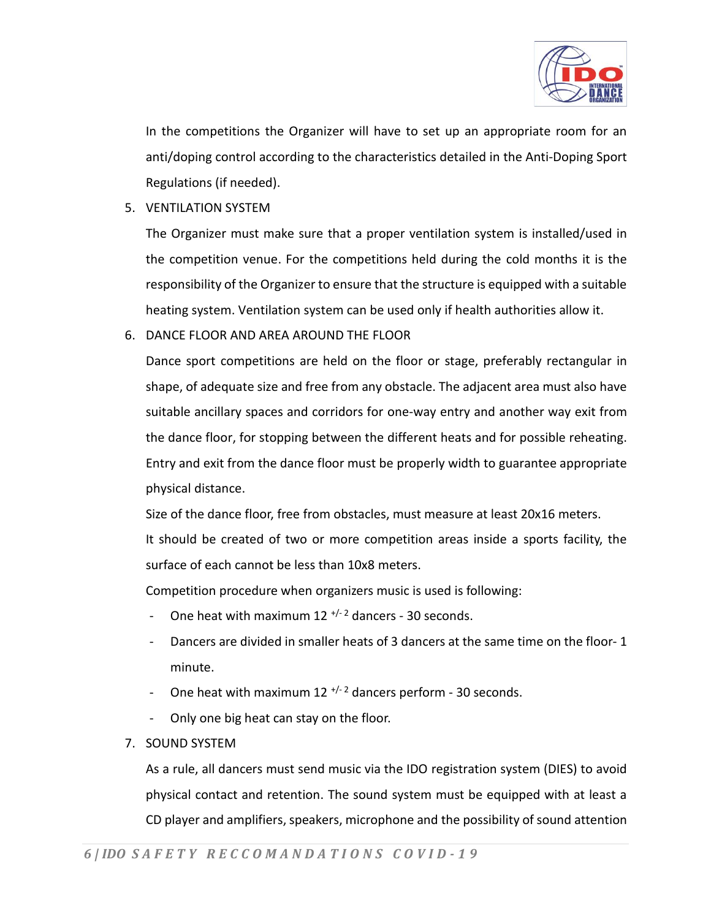

In the competitions the Organizer will have to set up an appropriate room for an anti/doping control according to the characteristics detailed in the Anti-Doping Sport Regulations (if needed).

5. VENTILATION SYSTEM

The Organizer must make sure that a proper ventilation system is installed/used in the competition venue. For the competitions held during the cold months it is the responsibility of the Organizer to ensure that the structure is equipped with a suitable heating system. Ventilation system can be used only if health authorities allow it.

6. DANCE FLOOR AND AREA AROUND THE FLOOR

Dance sport competitions are held on the floor or stage, preferably rectangular in shape, of adequate size and free from any obstacle. The adjacent area must also have suitable ancillary spaces and corridors for one-way entry and another way exit from the dance floor, for stopping between the different heats and for possible reheating. Entry and exit from the dance floor must be properly width to guarantee appropriate physical distance.

Size of the dance floor, free from obstacles, must measure at least 20x16 meters. It should be created of two or more competition areas inside a sports facility, the surface of each cannot be less than 10x8 meters.

Competition procedure when organizers music is used is following:

- One heat with maximum  $12$  <sup>+/-2</sup> dancers 30 seconds.
- Dancers are divided in smaller heats of 3 dancers at the same time on the floor-1 minute.
- One heat with maximum 12  $^{+/2}$  dancers perform 30 seconds.
- Only one big heat can stay on the floor.
- 7. SOUND SYSTEM

As a rule, all dancers must send music via the IDO registration system (DIES) to avoid physical contact and retention. The sound system must be equipped with at least a CD player and amplifiers, speakers, microphone and the possibility of sound attention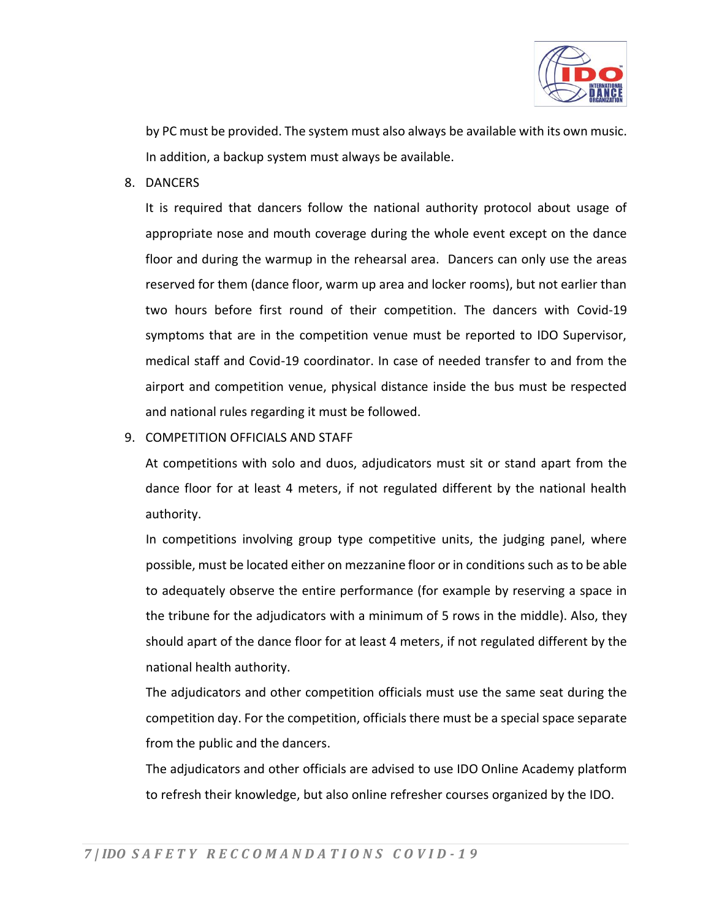

by PC must be provided. The system must also always be available with its own music. In addition, a backup system must always be available.

8. DANCERS

It is required that dancers follow the national authority protocol about usage of appropriate nose and mouth coverage during the whole event except on the dance floor and during the warmup in the rehearsal area. Dancers can only use the areas reserved for them (dance floor, warm up area and locker rooms), but not earlier than two hours before first round of their competition. The dancers with Covid-19 symptoms that are in the competition venue must be reported to IDO Supervisor, medical staff and Covid-19 coordinator. In case of needed transfer to and from the airport and competition venue, physical distance inside the bus must be respected and national rules regarding it must be followed.

9. COMPETITION OFFICIALS AND STAFF

At competitions with solo and duos, adjudicators must sit or stand apart from the dance floor for at least 4 meters, if not regulated different by the national health authority.

In competitions involving group type competitive units, the judging panel, where possible, must be located either on mezzanine floor or in conditions such as to be able to adequately observe the entire performance (for example by reserving a space in the tribune for the adjudicators with a minimum of 5 rows in the middle). Also, they should apart of the dance floor for at least 4 meters, if not regulated different by the national health authority.

The adjudicators and other competition officials must use the same seat during the competition day. For the competition, officials there must be a special space separate from the public and the dancers.

The adjudicators and other officials are advised to use IDO Online Academy platform to refresh their knowledge, but also online refresher courses organized by the IDO.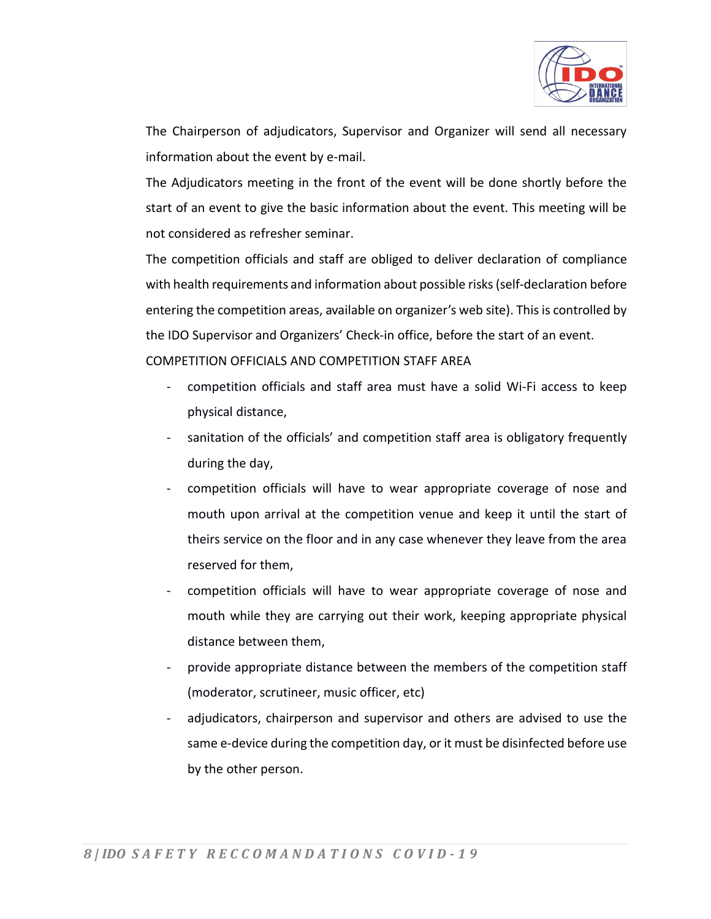

The Chairperson of adjudicators, Supervisor and Organizer will send all necessary information about the event by e-mail.

The Adjudicators meeting in the front of the event will be done shortly before the start of an event to give the basic information about the event. This meeting will be not considered as refresher seminar.

The competition officials and staff are obliged to deliver declaration of compliance with health requirements and information about possible risks (self-declaration before entering the competition areas, available on organizer's web site). This is controlled by the IDO Supervisor and Organizers' Check-in office, before the start of an event. COMPETITION OFFICIALS AND COMPETITION STAFF AREA

- competition officials and staff area must have a solid Wi-Fi access to keep physical distance,
- sanitation of the officials' and competition staff area is obligatory frequently during the day,
- competition officials will have to wear appropriate coverage of nose and mouth upon arrival at the competition venue and keep it until the start of theirs service on the floor and in any case whenever they leave from the area reserved for them,
- competition officials will have to wear appropriate coverage of nose and mouth while they are carrying out their work, keeping appropriate physical distance between them,
- provide appropriate distance between the members of the competition staff (moderator, scrutineer, music officer, etc)
- adjudicators, chairperson and supervisor and others are advised to use the same e-device during the competition day, or it must be disinfected before use by the other person.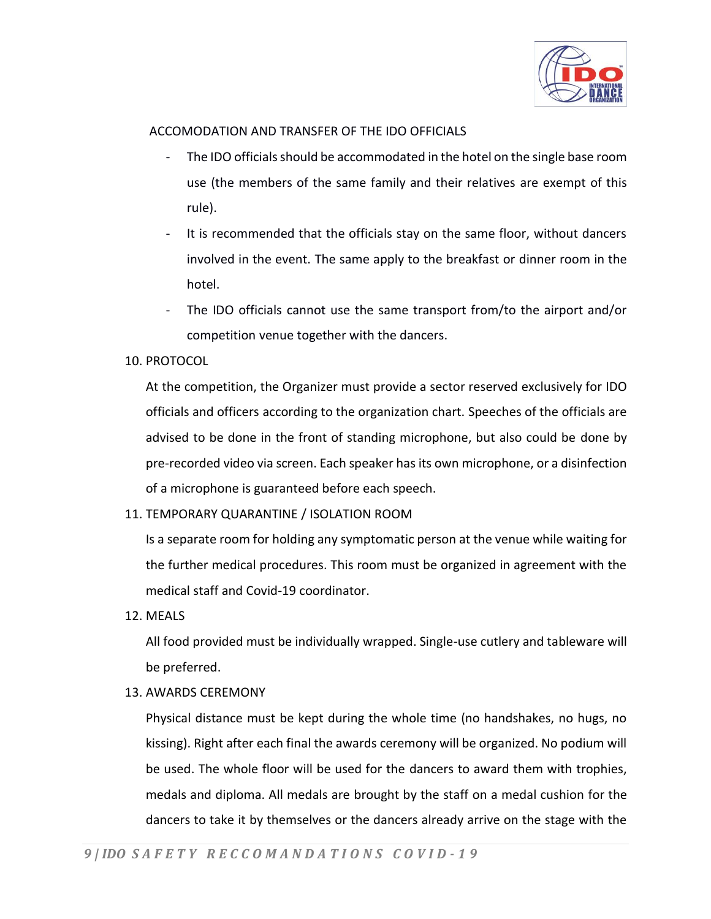

## ACCOMODATION AND TRANSFER OF THE IDO OFFICIALS

- The IDO officials should be accommodated in the hotel on the single base room use (the members of the same family and their relatives are exempt of this rule).
- It is recommended that the officials stay on the same floor, without dancers involved in the event. The same apply to the breakfast or dinner room in the hotel.
- The IDO officials cannot use the same transport from/to the airport and/or competition venue together with the dancers.

## 10. PROTOCOL

At the competition, the Organizer must provide a sector reserved exclusively for IDO officials and officers according to the organization chart. Speeches of the officials are advised to be done in the front of standing microphone, but also could be done by pre-recorded video via screen. Each speaker has its own microphone, or a disinfection of a microphone is guaranteed before each speech.

## 11. TEMPORARY QUARANTINE / ISOLATION ROOM

Is a separate room for holding any symptomatic person at the venue while waiting for the further medical procedures. This room must be organized in agreement with the medical staff and Covid-19 coordinator.

12. MEALS

All food provided must be individually wrapped. Single-use cutlery and tableware will be preferred.

13. AWARDS CEREMONY

Physical distance must be kept during the whole time (no handshakes, no hugs, no kissing). Right after each final the awards ceremony will be organized. No podium will be used. The whole floor will be used for the dancers to award them with trophies, medals and diploma. All medals are brought by the staff on a medal cushion for the dancers to take it by themselves or the dancers already arrive on the stage with the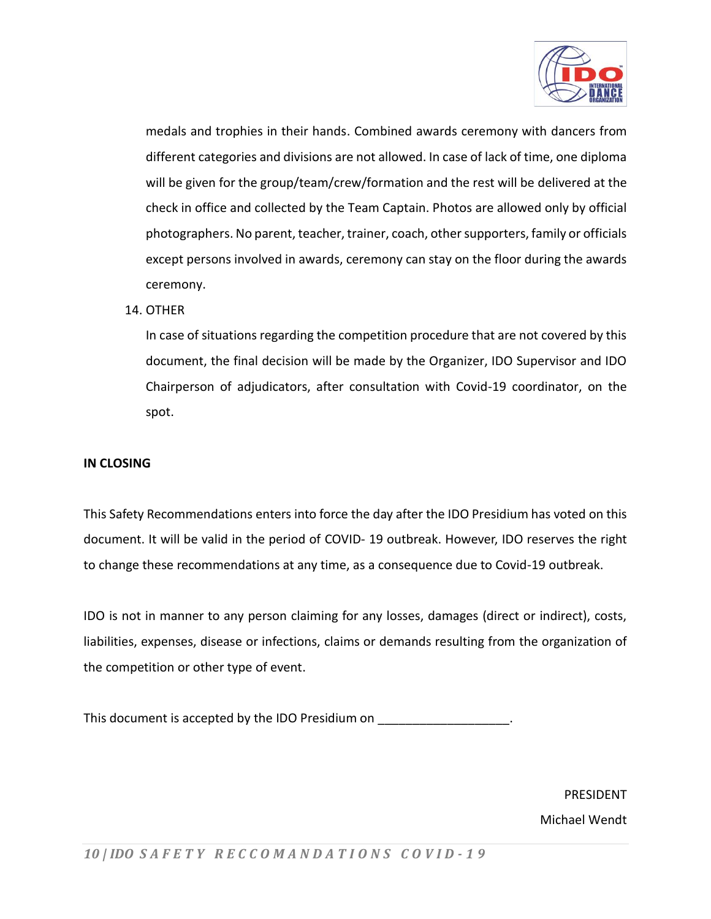

medals and trophies in their hands. Combined awards ceremony with dancers from different categories and divisions are not allowed. In case of lack of time, one diploma will be given for the group/team/crew/formation and the rest will be delivered at the check in office and collected by the Team Captain. Photos are allowed only by official photographers. No parent, teacher, trainer, coach, other supporters, family or officials except persons involved in awards, ceremony can stay on the floor during the awards ceremony.

## 14. OTHER

In case of situations regarding the competition procedure that are not covered by this document, the final decision will be made by the Organizer, IDO Supervisor and IDO Chairperson of adjudicators, after consultation with Covid-19 coordinator, on the spot.

## **IN CLOSING**

This Safety Recommendations enters into force the day after the IDO Presidium has voted on this document. It will be valid in the period of COVID- 19 outbreak. However, IDO reserves the right to change these recommendations at any time, as a consequence due to Covid-19 outbreak.

IDO is not in manner to any person claiming for any losses, damages (direct or indirect), costs, liabilities, expenses, disease or infections, claims or demands resulting from the organization of the competition or other type of event.

This document is accepted by the IDO Presidium on

PRESIDENT Michael Wendt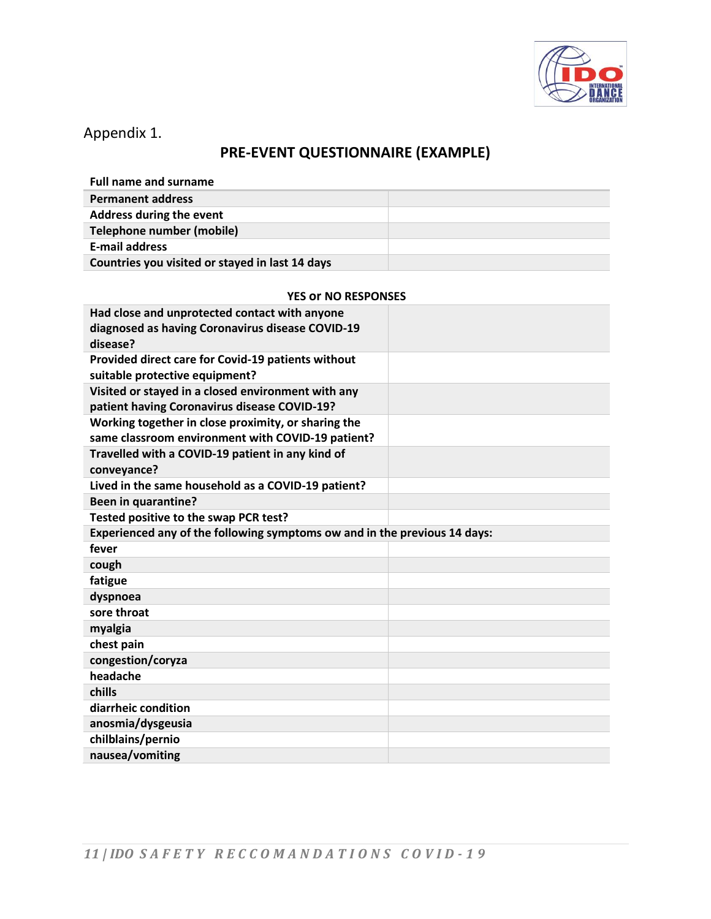

Appendix 1.

# **PRE-EVENT QUESTIONNAIRE (EXAMPLE)**

| <b>Full name and surname</b>                    |  |
|-------------------------------------------------|--|
| <b>Permanent address</b>                        |  |
| Address during the event                        |  |
| Telephone number (mobile)                       |  |
| <b>E-mail address</b>                           |  |
| Countries you visited or stayed in last 14 days |  |

#### **YES or NO RESPONSES**

| Had close and unprotected contact with anyone<br>diagnosed as having Coronavirus disease COVID-19<br>disease? |  |  |
|---------------------------------------------------------------------------------------------------------------|--|--|
| Provided direct care for Covid-19 patients without<br>suitable protective equipment?                          |  |  |
| Visited or stayed in a closed environment with any<br>patient having Coronavirus disease COVID-19?            |  |  |
| Working together in close proximity, or sharing the<br>same classroom environment with COVID-19 patient?      |  |  |
| Travelled with a COVID-19 patient in any kind of<br>conveyance?                                               |  |  |
| Lived in the same household as a COVID-19 patient?                                                            |  |  |
| <b>Been in quarantine?</b>                                                                                    |  |  |
| Tested positive to the swap PCR test?                                                                         |  |  |
| Experienced any of the following symptoms ow and in the previous 14 days:                                     |  |  |
|                                                                                                               |  |  |
| fever                                                                                                         |  |  |
| cough                                                                                                         |  |  |
| fatigue                                                                                                       |  |  |
| dyspnoea                                                                                                      |  |  |
| sore throat                                                                                                   |  |  |
| myalgia                                                                                                       |  |  |
| chest pain                                                                                                    |  |  |
| congestion/coryza                                                                                             |  |  |
| headache                                                                                                      |  |  |
| chills                                                                                                        |  |  |
| diarrheic condition                                                                                           |  |  |
| anosmia/dysgeusia                                                                                             |  |  |
| chilblains/pernio<br>nausea/vomiting                                                                          |  |  |